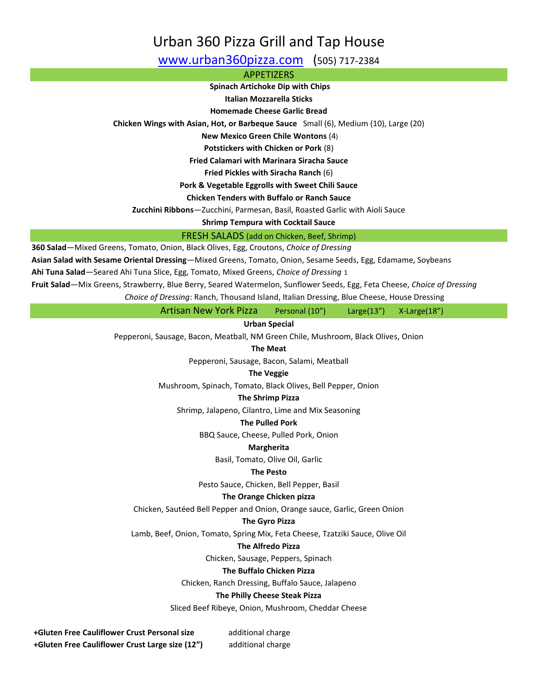# Urban 360 Pizza Grill and Tap House

[www.urban360pizza.com](http://www.urban360pizza.com/) (505) 717-2384

APPETIZERS

**Spinach Artichoke Dip with Chips**

**Italian Mozzarella Sticks**

**Homemade Cheese Garlic Bread**

**Chicken Wings with Asian, Hot, or Barbeque Sauce** Small (6), Medium (10), Large (20)

**New Mexico Green Chile Wontons** (4)

**Potstickers with Chicken or Pork** (8)

**Fried Calamari with Marinara Siracha Sauce**

**Fried Pickles with Siracha Ranch** (6)

**Pork & Vegetable Eggrolls with Sweet Chili Sauce**

**Chicken Tenders with Buffalo or Ranch Sauce** 

**Zucchini Ribbons**—Zucchini, Parmesan, Basil, Roasted Garlic with Aioli Sauce

**Shrimp Tempura with Cocktail Sauce**

FRESH SALADS (add on Chicken, Beef, Shrimp)

**360 Salad**—Mixed Greens, Tomato, Onion, Black Olives, Egg, Croutons, *Choice of Dressing*

**Asian Salad with Sesame Oriental Dressing**—Mixed Greens, Tomato, Onion, Sesame Seeds, Egg, Edamame, Soybeans

**Ahi Tuna Salad**—Seared Ahi Tuna Slice, Egg, Tomato, Mixed Greens, *Choice of Dressing* 1

**Fruit Salad**—Mix Greens, Strawberry, Blue Berry, Seared Watermelon, Sunflower Seeds, Egg, Feta Cheese, *Choice of Dressing*

*Choice of Dressing*: Ranch, Thousand Island, Italian Dressing, Blue Cheese, House Dressing

Artisan New York Pizza Personal (10") Large(13") X-Large(18")

**Urban Special**

Pepperoni, Sausage, Bacon, Meatball, NM Green Chile, Mushroom, Black Olives, Onion

**The Meat**

Pepperoni, Sausage, Bacon, Salami, Meatball

# **The Veggie**

Mushroom, Spinach, Tomato, Black Olives, Bell Pepper, Onion

#### **The Shrimp Pizza**

Shrimp, Jalapeno, Cilantro, Lime and Mix Seasoning

#### **The Pulled Pork**

BBQ Sauce, Cheese, Pulled Pork, Onion

#### **Margherita**

Basil, Tomato, Olive Oil, Garlic

#### **The Pesto**

Pesto Sauce, Chicken, Bell Pepper, Basil

#### **The Orange Chicken pizza**

Chicken, Sautéed Bell Pepper and Onion, Orange sauce, Garlic, Green Onion

#### **The Gyro Pizza**

Lamb, Beef, Onion, Tomato, Spring Mix, Feta Cheese, Tzatziki Sauce, Olive Oil

#### **The Alfredo Pizza**

Chicken, Sausage, Peppers, Spinach

#### **The Buffalo Chicken Pizza**

Chicken, Ranch Dressing, Buffalo Sauce, Jalapeno

#### **The Philly Cheese Steak Pizza**

Sliced Beef Ribeye, Onion, Mushroom, Cheddar Cheese

**+Gluten Free Cauliflower Crust Personal size** additional charge **+Gluten Free Cauliflower Crust Large size (12")** additional charge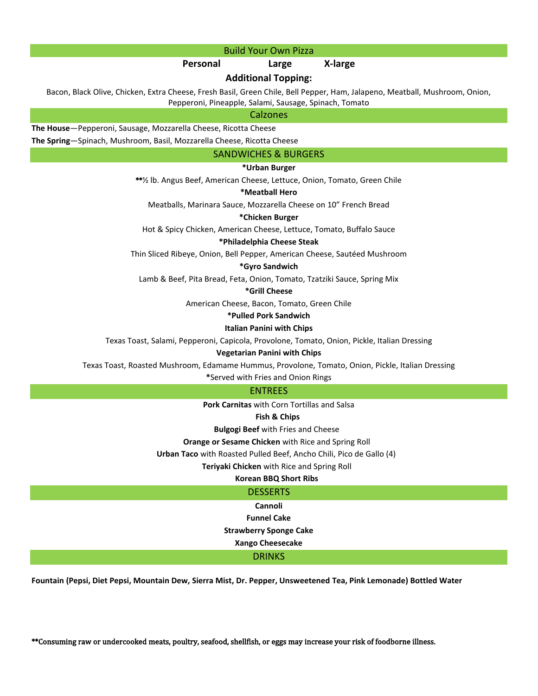#### Build Your Own Pizza

#### **Personal Large X-large**

#### **Additional Topping:**

Bacon, Black Olive, Chicken, Extra Cheese, Fresh Basil, Green Chile, Bell Pepper, Ham, Jalapeno, Meatball, Mushroom, Onion, Pepperoni, Pineapple, Salami, Sausage, Spinach, Tomato

#### Calzones

**The House**—Pepperoni, Sausage, Mozzarella Cheese, Ricotta Cheese

**The Spring**—Spinach, Mushroom, Basil, Mozzarella Cheese, Ricotta Cheese

#### SANDWICHES & BURGERS

#### **\*Urban Burger**

\*\*½ lb. Angus Beef, American Cheese, Lettuce, Onion, Tomato, Green Chile

#### **\*Meatball Hero**

Meatballs, Marinara Sauce, Mozzarella Cheese on 10" French Bread

#### **\*Chicken Burger**

Hot & Spicy Chicken, American Cheese, Lettuce, Tomato, Buffalo Sauce

#### **\*Philadelphia Cheese Steak**

Thin Sliced Ribeye, Onion, Bell Pepper, American Cheese, Sautéed Mushroom

#### **\*Gyro Sandwich**

Lamb & Beef, Pita Bread, Feta, Onion, Tomato, Tzatziki Sauce, Spring Mix

#### **\*Grill Cheese**

American Cheese, Bacon, Tomato, Green Chile

#### **\*Pulled Pork Sandwich**

#### **Italian Panini with Chips**

Texas Toast, Salami, Pepperoni, Capicola, Provolone, Tomato, Onion, Pickle, Italian Dressing

#### **Vegetarian Panini with Chips**

Texas Toast, Roasted Mushroom, Edamame Hummus, Provolone, Tomato, Onion, Pickle, Italian Dressing

**\***Served with Fries and Onion Rings

#### ENTREES

 **Pork Carnitas** with Corn Tortillas and Salsa

#### **Fish & Chips**

**Bulgogi Beef** with Fries and Cheese

#### **Orange or Sesame Chicken** with Rice and Spring Roll

 **Urban Taco** with Roasted Pulled Beef, Ancho Chili, Pico de Gallo (4)

**Teriyaki Chicken** with Rice and Spring Roll

### **Korean BBQ Short Ribs**

### **DESSERTS**

**Cannoli Funnel Cake**

**Strawberry Sponge Cake**

**Xango Cheesecake**

### DRINKS

**Fountain (Pepsi, Diet Pepsi, Mountain Dew, Sierra Mist, Dr. Pepper, Unsweetened Tea, Pink Lemonade) Bottled Water** 

\*\*Consuming raw or undercooked meats, poultry, seafood, shellfish, or eggs may increase your risk of foodborne illness.